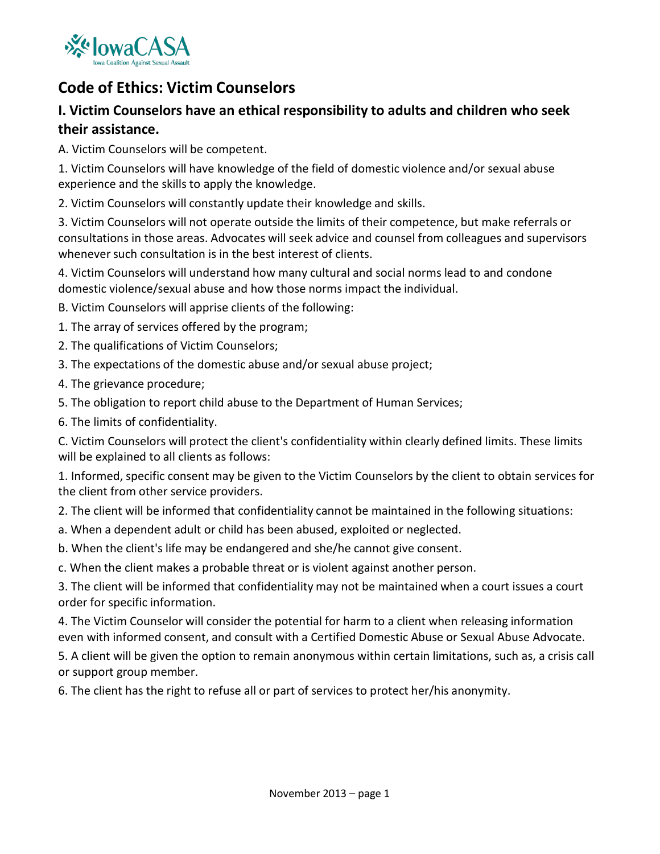

# **Code of Ethics: Victim Counselors**

## **I. Victim Counselors have an ethical responsibility to adults and children who seek their assistance.**

A. Victim Counselors will be competent.

1. Victim Counselors will have knowledge of the field of domestic violence and/or sexual abuse experience and the skills to apply the knowledge.

2. Victim Counselors will constantly update their knowledge and skills.

3. Victim Counselors will not operate outside the limits of their competence, but make referrals or consultations in those areas. Advocates will seek advice and counsel from colleagues and supervisors whenever such consultation is in the best interest of clients.

4. Victim Counselors will understand how many cultural and social norms lead to and condone domestic violence/sexual abuse and how those norms impact the individual.

B. Victim Counselors will apprise clients of the following:

- 1. The array of services offered by the program;
- 2. The qualifications of Victim Counselors;
- 3. The expectations of the domestic abuse and/or sexual abuse project;
- 4. The grievance procedure;
- 5. The obligation to report child abuse to the Department of Human Services;
- 6. The limits of confidentiality.

C. Victim Counselors will protect the client's confidentiality within clearly defined limits. These limits will be explained to all clients as follows:

1. Informed, specific consent may be given to the Victim Counselors by the client to obtain services for the client from other service providers.

2. The client will be informed that confidentiality cannot be maintained in the following situations:

- a. When a dependent adult or child has been abused, exploited or neglected.
- b. When the client's life may be endangered and she/he cannot give consent.

c. When the client makes a probable threat or is violent against another person.

3. The client will be informed that confidentiality may not be maintained when a court issues a court order for specific information.

4. The Victim Counselor will consider the potential for harm to a client when releasing information even with informed consent, and consult with a Certified Domestic Abuse or Sexual Abuse Advocate.

5. A client will be given the option to remain anonymous within certain limitations, such as, a crisis call or support group member.

6. The client has the right to refuse all or part of services to protect her/his anonymity.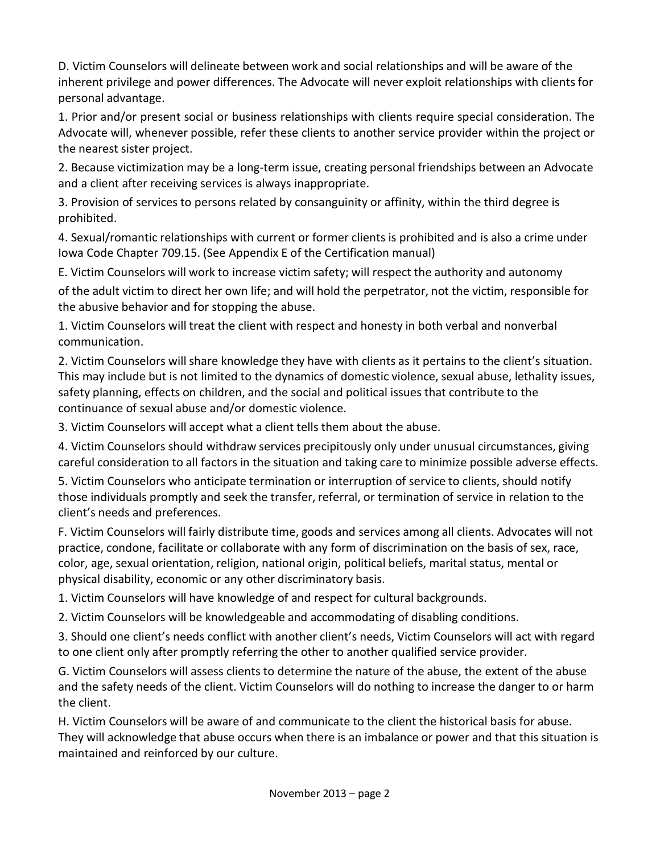D. Victim Counselors will delineate between work and social relationships and will be aware of the inherent privilege and power differences. The Advocate will never exploit relationships with clients for personal advantage.

1. Prior and/or present social or business relationships with clients require special consideration. The Advocate will, whenever possible, refer these clients to another service provider within the project or the nearest sister project.

2. Because victimization may be a long‐term issue, creating personal friendships between an Advocate and a client after receiving services is always inappropriate.

3. Provision of services to persons related by consanguinity or affinity, within the third degree is prohibited.

4. Sexual/romantic relationships with current or former clients is prohibited and is also a crime under Iowa Code Chapter 709.15. (See Appendix E of the Certification manual)

E. Victim Counselors will work to increase victim safety; will respect the authority and autonomy

of the adult victim to direct her own life; and will hold the perpetrator, not the victim, responsible for the abusive behavior and for stopping the abuse.

1. Victim Counselors will treat the client with respect and honesty in both verbal and nonverbal communication.

2. Victim Counselors will share knowledge they have with clients as it pertains to the client's situation. This may include but is not limited to the dynamics of domestic violence, sexual abuse, lethality issues, safety planning, effects on children, and the social and political issues that contribute to the continuance of sexual abuse and/or domestic violence.

3. Victim Counselors will accept what a client tells them about the abuse.

4. Victim Counselors should withdraw services precipitously only under unusual circumstances, giving careful consideration to all factors in the situation and taking care to minimize possible adverse effects.

5. Victim Counselors who anticipate termination or interruption of service to clients, should notify those individuals promptly and seek the transfer, referral, or termination of service in relation to the client's needs and preferences.

F. Victim Counselors will fairly distribute time, goods and services among all clients. Advocates will not practice, condone, facilitate or collaborate with any form of discrimination on the basis of sex, race, color, age, sexual orientation, religion, national origin, political beliefs, marital status, mental or physical disability, economic or any other discriminatory basis.

1. Victim Counselors will have knowledge of and respect for cultural backgrounds.

2. Victim Counselors will be knowledgeable and accommodating of disabling conditions.

3. Should one client's needs conflict with another client's needs, Victim Counselors will act with regard to one client only after promptly referring the other to another qualified service provider.

G. Victim Counselors will assess clients to determine the nature of the abuse, the extent of the abuse and the safety needs of the client. Victim Counselors will do nothing to increase the danger to or harm the client.

H. Victim Counselors will be aware of and communicate to the client the historical basis for abuse. They will acknowledge that abuse occurs when there is an imbalance or power and that this situation is maintained and reinforced by our culture.